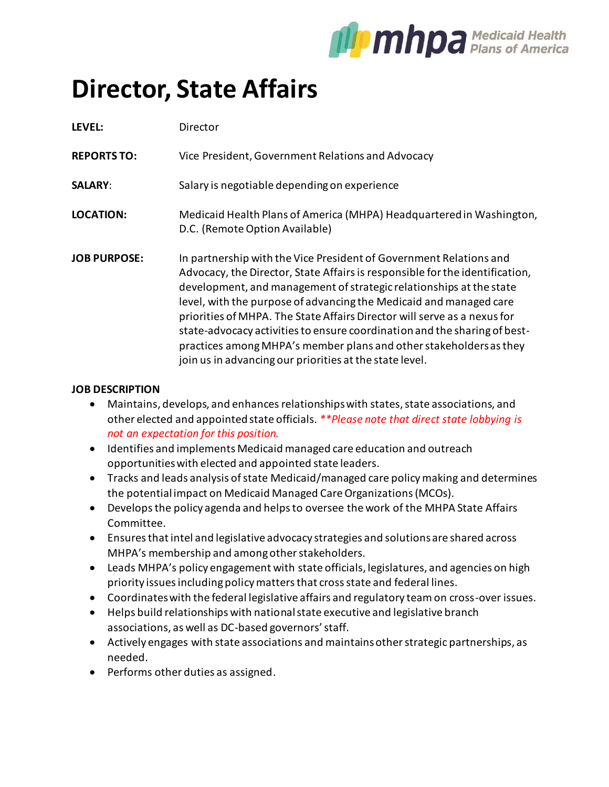

## **Director, State Affairs**

| LEVEL:              | Director                                                                                                                                                                                                                                                                                                                                                                                                                                                                                                                                                                                  |
|---------------------|-------------------------------------------------------------------------------------------------------------------------------------------------------------------------------------------------------------------------------------------------------------------------------------------------------------------------------------------------------------------------------------------------------------------------------------------------------------------------------------------------------------------------------------------------------------------------------------------|
| <b>REPORTS TO:</b>  | Vice President, Government Relations and Advocacy                                                                                                                                                                                                                                                                                                                                                                                                                                                                                                                                         |
| <b>SALARY:</b>      | Salary is negotiable depending on experience                                                                                                                                                                                                                                                                                                                                                                                                                                                                                                                                              |
| <b>LOCATION:</b>    | Medicaid Health Plans of America (MHPA) Headquartered in Washington,<br>D.C. (Remote Option Available)                                                                                                                                                                                                                                                                                                                                                                                                                                                                                    |
| <b>JOB PURPOSE:</b> | In partnership with the Vice President of Government Relations and<br>Advocacy, the Director, State Affairs is responsible for the identification,<br>development, and management of strategic relationships at the state<br>level, with the purpose of advancing the Medicaid and managed care<br>priorities of MHPA. The State Affairs Director will serve as a nexus for<br>state-advocacy activities to ensure coordination and the sharing of best-<br>practices among MHPA's member plans and other stakeholders as they<br>join us in advancing our priorities at the state level. |

## **JOB DESCRIPTION**

- Maintains, develops, and enhances relationships with states, state associations, and other elected and appointed state officials. *\*\*Please note that direct state lobbying is not an expectation for this position.*
- Identifies and implements Medicaid managed care education and outreach opportunities with elected and appointed state leaders.
- Tracks and leads analysis of state Medicaid/managed care policy making and determines the potential impact on Medicaid Managed Care Organizations (MCOs).
- Develops the policy agenda and helps to oversee the work of the MHPA State Affairs Committee.
- Ensures that intel and legislative advocacy strategies and solutions are shared across MHPA's membership and among other stakeholders.
- Leads MHPA's policy engagement with state officials, legislatures, and agencies on high priority issues including policy matters that cross state and federal lines.
- Coordinates with the federal legislative affairs and regulatory team on cross-over issues.
- Helps build relationships with national state executive and legislative branch associations, as well as DC-based governors' staff.
- Actively engages with state associations and maintains other strategic partnerships, as needed.
- Performs other duties as assigned.